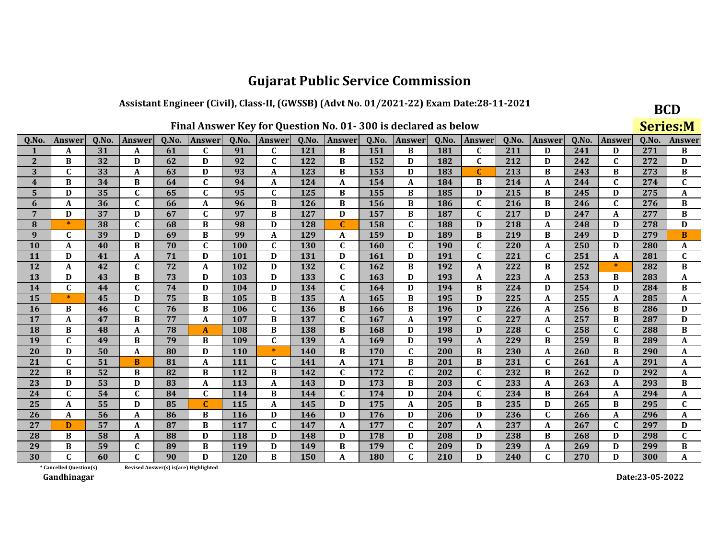### Assistant Engineer (Civil), Class-II, (GWSSB) (Advt No. 01/2021-22) Exam Date:28-11-2021

| Final Answer Key for Question No. 01-300 is declared as below |  |
|---------------------------------------------------------------|--|
|---------------------------------------------------------------|--|

**BCD** 

|                         |                         |                                                                                                                                                   |              |                                        |              |            |                           |            |              |     | Final Answer Key for Question No. 01-300 is declared as below |            |              |     |             |     |              |       | <b>Series:M</b> |
|-------------------------|-------------------------|---------------------------------------------------------------------------------------------------------------------------------------------------|--------------|----------------------------------------|--------------|------------|---------------------------|------------|--------------|-----|---------------------------------------------------------------|------------|--------------|-----|-------------|-----|--------------|-------|-----------------|
| Q.No.                   | Answer                  | Q.No.<br>Q.No.<br>Q.No.<br>Answer<br>Q.No.<br>Answer<br>Q.No.<br>Answer<br>Answer<br>Q.No.<br>Q.No.<br>Q.No.<br>Answer<br><b>Answer</b><br>Answer |              |                                        |              |            |                           |            |              |     |                                                               |            |              |     |             |     | Answer       | Q.No. | <b>Answer</b>   |
| 1                       | A                       | 31                                                                                                                                                | A            | 61                                     | $\mathbf C$  | 91         | $\mathbf C$               | 121        | B            | 151 | B                                                             | 181        | $\mathbf{C}$ | 211 | D           | 241 | D            | 271   | B               |
| $\overline{2}$          | B                       | 32                                                                                                                                                | D            | 62                                     | D            | 92         | $\mathbf{C}$              | 122        | B            | 152 | D                                                             | 182        | $\mathbf{C}$ | 212 | D           | 242 | $\mathbf{C}$ | 272   | D               |
| 3                       | C                       | 33                                                                                                                                                | A            | 63                                     | D            | 93         | A                         | 123        | B            | 153 | D                                                             | 183        | $\mathbf C$  | 213 | B           | 243 | B            | 273   | $\, {\bf B}$    |
| $\overline{\mathbf{4}}$ | B                       | 34                                                                                                                                                | B            | 64                                     | $\mathbf{C}$ | 94         | A                         | 124        | A            | 154 | A                                                             | 184        | B            | 214 | A           | 244 | $\mathbf C$  | 274   | $\mathbf C$     |
| 5                       | D                       | 35                                                                                                                                                | $\mathbf{C}$ | 65                                     | $\mathbf{C}$ | 95         | $\mathbf C$               | 125        | B            | 155 | B                                                             | 185        | D            | 215 | B           | 245 | D            | 275   | A               |
| 6                       | A                       | 36                                                                                                                                                | $\mathbf{C}$ | 66                                     | A            | 96         | B                         | 126        | B            | 156 | B                                                             | 186        | $\mathbf{C}$ | 216 | B           | 246 | $\mathbf C$  | 276   | B               |
| 7                       | D                       | 37                                                                                                                                                | D            | 67                                     | $\mathbf C$  | 97         | B                         | 127        | D            | 157 | B                                                             | 187        | $\mathbf c$  | 217 | D           | 247 | A            | 277   | $\, {\bf B}$    |
| 8                       | $\ast$                  | 38                                                                                                                                                | $\mathbf{C}$ | 68                                     | B            | 98         | D                         | 128        | C            | 158 | $\mathbf C$                                                   | 188        | D            | 218 | A           | 248 | D            | 278   | D               |
| 9                       | C                       | 39                                                                                                                                                | D            | 69                                     | B            | 99         | $\boldsymbol{A}$          | 129        | A            | 159 | D                                                             | 189        | B            | 219 | B           | 249 | D            | 279   | B               |
| 10                      | A                       | 40                                                                                                                                                | B            | 70                                     | $\mathbf{C}$ | 100        | $\mathbf C$               | <b>130</b> | $\mathbf C$  | 160 | $\mathbf C$                                                   | <b>190</b> | $\mathbf{C}$ | 220 | $\mathbf A$ | 250 | D            | 280   | A               |
| 11                      | D                       | 41                                                                                                                                                | A            | 71                                     | D            | 101        | D                         | 131        | D            | 161 | D                                                             | 191        | $\mathbf{C}$ | 221 | $\mathbf C$ | 251 | A            | 281   | $\mathbf{C}$    |
| 12                      | A                       | 42                                                                                                                                                | $\mathbf{C}$ | 72                                     | A            | 102        | D                         | 132        | $\mathbf{C}$ | 162 | B                                                             | 192        | A            | 222 | B           | 252 | $\ast$       | 282   | B               |
| 13                      | D                       | 43                                                                                                                                                | B            | 73                                     | D            | 103        | D                         | 133        | $\mathbf{C}$ | 163 | D                                                             | 193        | A            | 223 | $\mathbf A$ | 253 | B            | 283   | A               |
| 14                      | $\mathbf{C}$            | 44                                                                                                                                                | $\mathbf{C}$ | 74                                     | D            | 104        | D                         | 134        | $\mathbf C$  | 164 | D                                                             | 194        | B            | 224 | D           | 254 | D            | 284   | B               |
| 15                      | $\ast$                  | 45                                                                                                                                                | D            | 75                                     | B            | 105        | B                         | 135        | A            | 165 | B                                                             | 195        | D            | 225 | $\mathbf A$ | 255 | A            | 285   | A               |
| 16                      | B                       | 46                                                                                                                                                | $\mathbf{C}$ | 76                                     | B            | 106        | $\mathbf C$               | 136        | B            | 166 | B                                                             | 196        | D            | 226 | A           | 256 | B            | 286   | D               |
| 17                      | A                       | 47                                                                                                                                                | B            | 77                                     | A            | 107        | B                         | 137        | $\mathbf{C}$ | 167 | A                                                             | 197        | $\mathbf{C}$ | 227 | A           | 257 | B            | 287   | D               |
| 18                      | B                       | 48                                                                                                                                                | A            | 78                                     | A            | 108        | B                         | 138        | B            | 168 | D                                                             | 198        | $\mathbf D$  | 228 | $\mathbf C$ | 258 | $\mathbf C$  | 288   | B               |
| 19                      | $\mathbf C$             | 49                                                                                                                                                | B            | 79                                     | B            | 109        | $\mathbf C$               | 139        | A            | 169 | D                                                             | 199        | A            | 229 | B           | 259 | B            | 289   | A               |
| 20                      | D                       | 50                                                                                                                                                | A            | 80                                     | D            | <b>110</b> | $\ast$                    | 140        | B            | 170 | C                                                             | 200        | B            | 230 | A           | 260 | B            | 290   | A               |
| 21                      | $\mathbf C$             | 51                                                                                                                                                | B            | 81                                     | A            | 111        | $\mathbf C$               | 141        | A            | 171 | B                                                             | 201        | B            | 231 | $\mathbf C$ | 261 | A            | 291   | A               |
| 22                      | B                       | 52                                                                                                                                                | B            | 82                                     | B            | 112        | B                         | 142        | $\mathbf C$  | 172 | C                                                             | 202        | $\mathbf C$  | 232 | B           | 262 | D            | 292   | A               |
| 23                      | $\mathbf D$             | 53                                                                                                                                                | D            | 83                                     | A            | 113        | $\boldsymbol{A}$          | 143        | D            | 173 | B                                                             | 203        | $\mathbf{C}$ | 233 | $\mathbf A$ | 263 | A            | 293   | B               |
| 24                      |                         | 54                                                                                                                                                | C            | 84                                     | C            | 114        | B                         | 144        | C            | 174 | D                                                             | 204        | $\mathbf C$  | 234 | B           | 264 | A            | 294   | A               |
| 25                      | A                       | 55                                                                                                                                                | $\mathbf{D}$ | 85                                     | $\mathbf{C}$ | 115        | $\boldsymbol{\mathsf{A}}$ | 145        | D            | 175 | $\mathbf A$                                                   | 205        | B            | 235 | D           | 265 | B            | 295   | $\mathbf C$     |
| 26                      | A                       | 56                                                                                                                                                | A            | 86                                     | B            | 116        | D                         | 146        | D            | 176 | D                                                             | 206        | D            | 236 | $\mathbf C$ | 266 | A            | 296   | A               |
| 27                      | D                       | 57                                                                                                                                                | A            | 87                                     | B            | 117        | $\mathbf{C}$              | 147        | A            | 177 | $\mathbf C$                                                   | 207        | A            | 237 | $\mathbf A$ | 267 | $\mathbf C$  | 297   | D               |
| 28                      | B                       | 58                                                                                                                                                | A            | 88                                     | D            | 118        | D                         | 148        | D            | 178 | D                                                             | 208        | D            | 238 | B           | 268 | D            | 298   | $\mathbf{C}$    |
| 29                      | B                       | 59                                                                                                                                                | $\mathbf{C}$ | 89                                     | B            | 119        | D                         | 149        | B            | 179 | C                                                             | 209        | D            | 239 | $\mathbf A$ | 269 | D            | 299   | B               |
| 30                      |                         | 60                                                                                                                                                | $\mathbf{C}$ | 90                                     | D            | 120        | B                         | 150        | A            | 180 | $\mathbf{C}$                                                  | 210        | D            | 240 | $\mathbf C$ | 270 | D            | 300   | A               |
|                         | * Cancelled Question(s) |                                                                                                                                                   |              | Revised Answer(s) is (are) Highlighted |              |            |                           |            |              |     |                                                               |            |              |     |             |     |              |       |                 |

Revised Answer(s) is(are) Highlighted

Gandhinagar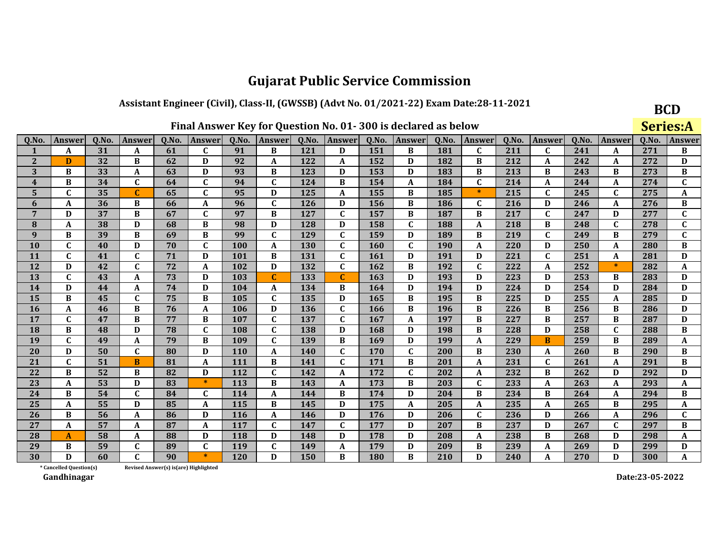### Assistant Engineer (Civil), Class-II, (GWSSB) (Advt No. 01/2021-22) Exam Date:28-11-2021

**BCD** Series:A

| 0.No.                   | Answer                  | 0.No. | Answer       | 0.No. | Answer                                | 0.No.      | <b>Answer</b> | 0.No. | Answer       | Q.No. | <b>Answer</b> | 0.No.      | Answer       | 0.No. | Answer       | 0.No. | Answer       | Q.No. | Answer                    |
|-------------------------|-------------------------|-------|--------------|-------|---------------------------------------|------------|---------------|-------|--------------|-------|---------------|------------|--------------|-------|--------------|-------|--------------|-------|---------------------------|
|                         | A                       | 31    | A            | 61    | $\mathbf{C}$                          | 91         | B             | 121   | D            | 151   | B             | 181        | C            | 211   | $\mathbf{C}$ | 241   | A            | 271   | B                         |
| $\mathbf{2}$            | D                       | 32    | B            | 62    | D                                     | 92         | A             | 122   | A            | 152   | D             | 182        | B            | 212   | A            | 242   | A            | 272   | D                         |
| 3                       | B                       | 33    | A            | 63    | D                                     | 93         | B             | 123   | D            | 153   | D             | 183        | B            | 213   | B            | 243   | B            | 273   | $\, {\bf B}$              |
| $\overline{\mathbf{4}}$ | B                       | 34    | $\mathbf{C}$ | 64    | $\mathbf{C}$                          | 94         | $\mathbf{C}$  | 124   | B            | 154   | A             | 184        | $\mathbf C$  | 214   | $\mathbf{A}$ | 244   | A            | 274   | $\mathbf C$               |
| 5                       | C                       | 35    | C            | 65    | C                                     | 95         | D             | 125   | A            | 155   | B             | 185        | $\ast$       | 215   | $\mathbf{C}$ | 245   | C            | 275   | A                         |
| 6                       | A                       | 36    | B            | 66    | A                                     | 96         | $\mathbf C$   | 126   | D            | 156   | B             | 186        | $\mathbf{C}$ | 216   | D            | 246   | A            | 276   | $\, {\bf B}$              |
| 7                       | D                       | 37    | B            | 67    | $\mathbf{C}$                          | 97         | B             | 127   | $\mathbf{C}$ | 157   | B             | 187        | В            | 217   | $\mathbf{C}$ | 247   | D            | 277   | $\mathbf{C}$              |
| 8                       | A                       | 38    | D            | 68    | B                                     | 98         | D             | 128   | D            | 158   | C             | 188        | A            | 218   | B            | 248   | C            | 278   | $\mathbf C$               |
| 9                       | B                       | 39    | B            | 69    | B                                     | 99         | $\mathbf C$   | 129   | $\mathbf{C}$ | 159   | D             | 189        | B            | 219   | $\mathbf C$  | 249   | B            | 279   | $\mathbf C$               |
| 10                      | $\mathbf{C}$            | 40    | D            | 70    | $\mathbf{C}$                          | 100        | A             | 130   | $\mathbf{C}$ | 160   | $\mathbf{C}$  | <b>190</b> | A            | 220   | D            | 250   | A            | 280   | B                         |
| 11                      | C                       | 41    | C            | 71    | D                                     | 101        | B             | 131   | C            | 161   | D             | <b>191</b> | D            | 221   | $\mathbf c$  | 251   | A            | 281   | D                         |
| 12                      | D                       | 42    | $\mathbf{C}$ | 72    | $\mathbf A$                           | 102        | D             | 132   | $\mathbf{C}$ | 162   | B             | 192        | $\mathbf C$  | 222   | $\mathbf A$  | 252   | $\ast$       | 282   | A                         |
| 13                      | $\mathbf{C}$            | 43    | A            | 73    | D                                     | 103        | $\mathbf{C}$  | 133   | C            | 163   | D             | 193        | D            | 223   | D            | 253   | B            | 283   | D                         |
| 14                      | D                       | 44    | A            | 74    | D                                     | 104        | A             | 134   | B            | 164   | D             | 194        | D            | 224   | D            | 254   | D            | 284   | D                         |
| 15                      | B                       | 45    | $\mathbf{C}$ | 75    | B                                     | 105        | $\mathbf C$   | 135   | D            | 165   | B             | 195        | B            | 225   | D            | 255   | A            | 285   | D                         |
| 16                      | A                       | 46    | B            | 76    | A                                     | 106        | D             | 136   | $\mathbf{C}$ | 166   | B             | 196        | B            | 226   | B            | 256   | B            | 286   | D                         |
| 17                      | C                       | 47    | B            | 77    | B                                     | 107        | C             | 137   | C            | 167   | A             | 197        | B            | 227   | B            | 257   | B            | 287   | D                         |
| 18                      | B                       | 48    | D            | 78    | $\mathbf{C}$                          | 108        | $\mathbf C$   | 138   | D            | 168   | D             | 198        | B            | 228   | D            | 258   | $\mathbf{C}$ | 288   | B                         |
| 19                      | $\mathbf{C}$            | 49    | A            | 79    | B                                     | 109        | $\mathbf{C}$  | 139   | B            | 169   | D             | 199        | A            | 229   | B            | 259   | B            | 289   | $\boldsymbol{\mathsf{A}}$ |
| 20                      | D                       | 50    | C            | 80    | D                                     | <b>110</b> | A             | 140   | C            | 170   | C             | 200        | B            | 230   | A            | 260   | B            | 290   | B                         |
| 21                      | $\mathbf{C}$            | 51    | B            | 81    | A                                     | 111        | B             | 141   | $\mathbf{C}$ | 171   | B             | 201        | $\mathbf{A}$ | 231   | $\mathbf C$  | 261   | A            | 291   | B                         |
| 22                      | B                       | 52    | B            | 82    | D                                     | 112        | $\mathbf C$   | 142   | A            | 172   | C             | 202        | A            | 232   | B            | 262   | D            | 292   | $\mathbf D$               |
| 23                      | A                       | 53    | D            | 83    | $\ast$                                | 113        | B             | 143   | A            | 173   | B             | 203        | $\mathbf c$  | 233   | A            | 263   | A            | 293   | A                         |
| 24                      | B                       | 54    | $\mathbf{C}$ | 84    | $\mathbf{C}$                          | 114        | $\mathbf{A}$  | 144   | B            | 174   | D             | 204        | B            | 234   | B            | 264   | A            | 294   | $\, {\bf B}$              |
| 25                      | A                       | 55    | D            | 85    | A                                     | 115        | B             | 145   | D            | 175   | A             | 205        | A            | 235   | A            | 265   | B            | 295   | A                         |
| 26                      | B                       | 56    | A            | 86    | D                                     | 116        | A             | 146   | D            | 176   | D             | 206        | $\mathbf{C}$ | 236   | D            | 266   | A            | 296   | $\mathbf{C}$              |
| 27                      | A                       | 57    | A            | 87    | A                                     | 117        | $\mathbf C$   | 147   | $\mathbf{C}$ | 177   | D             | 207        | B            | 237   | D            | 267   | $\mathbf C$  | 297   | B                         |
| 28                      | A                       | 58    | A            | 88    | D                                     | 118        | D             | 148   | D            | 178   | D             | 208        | A            | 238   | B            | 268   | D            | 298   | A                         |
| 29                      | B                       | 59    | $\mathbf{C}$ | 89    | $\mathbf{C}$                          | 119        | $\mathbf C$   | 149   | A            | 179   | D             | 209        | B            | 239   | A            | 269   | D            | 299   | D                         |
| 30                      | D                       | 60    | C            | 90    | $\ast$                                | 120        | D             | 150   | B            | 180   | B             | 210        | D            | 240   | $\mathbf A$  | 270   | D            | 300   | $\boldsymbol{\mathsf{A}}$ |
|                         | * Cancelled Question(s) |       |              |       | Revised Answer(s) is(are) Highlighted |            |               |       |              |       |               |            |              |       |              |       |              |       |                           |

Revised Answer(s) is(are) Highlighted

Gandhinagar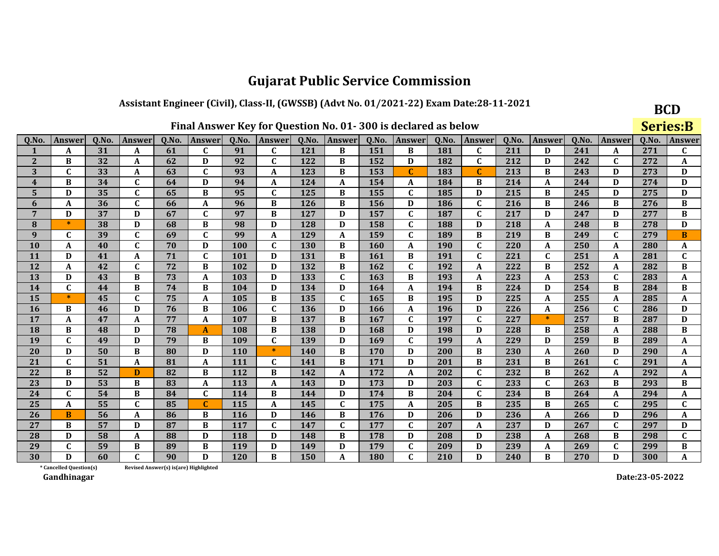### Assistant Engineer (Civil), Class-II, (GWSSB) (Advt No. 01/2021-22) Exam Date:28-11-2021

**BCD Series:B** 

| Q.No.                   | Answer                  | Q.No. | <b>Answer</b> | Q.No. | Answer                                | Q.No.      | <b>Answer</b> | Q.No. | Answer       | Q.No. | Answer       | Q.No. | Answer       | Q.No. | <b>Answer</b> | Q.No. | Answer       | Q.No. | <b>Answer</b> |
|-------------------------|-------------------------|-------|---------------|-------|---------------------------------------|------------|---------------|-------|--------------|-------|--------------|-------|--------------|-------|---------------|-------|--------------|-------|---------------|
|                         | A                       | 31    | A             | 61    | $\mathbf C$                           | 91         | $\mathbf C$   | 121   | B            | 151   | B            | 181   | $\mathbf{C}$ | 211   | D             | 241   | A            | 271   | $\mathbf{C}$  |
| $\mathbf{2}$            | B                       | 32    | A             | 62    | D                                     | 92         | C             | 122   | B            | 152   | D            | 182   | $\mathbf{C}$ | 212   | D             | 242   | C            | 272   | A             |
| 3                       | $\mathbf C$             | 33    | A             | 63    | $\mathbf{C}$                          | 93         | A             | 123   | B            | 153   | $\mathbf C$  | 183   | $\mathbf{C}$ | 213   | B             | 243   | D            | 273   | D             |
| $\overline{\mathbf{4}}$ | B                       | 34    | $\mathbf{C}$  | 64    | D                                     | 94         | A             | 124   | A            | 154   | A            | 184   | B            | 214   | A             | 244   | D            | 274   | D             |
| 5                       | D                       | 35    | $\mathbf{C}$  | 65    | B                                     | 95         | $\mathbf C$   | 125   | B            | 155   | $\mathbf C$  | 185   | D            | 215   | B             | 245   | D            | 275   | D             |
| 6                       | A                       | 36    | $\mathbf C$   | 66    | A                                     | 96         | B             | 126   | B            | 156   | D            | 186   | $\mathbf C$  | 216   | B             | 246   | B            | 276   | $\, {\bf B}$  |
| $\overline{7}$          | D                       | 37    | D             | 67    | $\mathbf C$                           | 97         | B             | 127   | D            | 157   | $\mathbf C$  | 187   | $\mathbf{C}$ | 217   | D             | 247   | D            | 277   | $\, {\bf B}$  |
| 8                       | $\ast$                  | 38    | D             | 68    | B                                     | 98         | D             | 128   | D            | 158   | $\mathbf{C}$ | 188   | D            | 218   | A             | 248   | B            | 278   | D             |
| 9                       | C                       | 39    | $\mathbf C$   | 69    | $\mathbf{C}$                          | 99         | A             | 129   | A            | 159   | $\mathbf C$  | 189   | B            | 219   | B             | 249   | $\mathbf{C}$ | 279   | $\bf{B}$      |
| 10                      | A                       | 40    | $\mathbf{C}$  | 70    | D                                     | 100        | $\mathbf C$   | 130   | B            | 160   | A            | 190   | $\mathbf{C}$ | 220   | A             | 250   | A            | 280   | A             |
| 11                      | D                       | 41    | A             | 71    | $\mathbf{C}$                          | 101        | D             | 131   | B            | 161   | B            | 191   | $\mathbf{C}$ | 221   | $\mathbf C$   | 251   | A            | 281   | $\mathbf C$   |
| 12                      | A                       | 42    | $\mathbf C$   | 72    | B                                     | 102        | D             | 132   | B            | 162   | $\mathbf C$  | 192   | A            | 222   | B             | 252   | A            | 282   | $\, {\bf B}$  |
| 13                      | D                       | 43    | B             | 73    | A                                     | 103        | D             | 133   | $\mathbf C$  | 163   | B            | 193   | A            | 223   | A             | 253   | $\mathbf{C}$ | 283   | A             |
| 14                      | $\mathbf{C}$            | 44    | B             | 74    | B                                     | 104        | D             | 134   | D            | 164   | A            | 194   | B            | 224   | D             | 254   | B            | 284   | $\bf{B}$      |
| 15                      | $\ast$                  | 45    | $\mathbf C$   | 75    | A                                     | 105        | B             | 135   | $\mathbf{C}$ | 165   | B            | 195   | D            | 225   | A             | 255   | A            | 285   | A             |
| 16                      | B                       | 46    | D             | 76    | B                                     | 106        | $\mathbf C$   | 136   | D            | 166   | A            | 196   | D            | 226   | A             | 256   | $\mathbf{C}$ | 286   | D             |
| 17                      | A                       | 47    | A             | 77    | A                                     | 107        | B             | 137   | B            | 167   | $\mathbf C$  | 197   | $\mathbf{C}$ | 227   | $\ast$        | 257   | B            | 287   | D             |
| 18                      | B                       | 48    | D             | 78    | A                                     | 108        | B             | 138   | D            | 168   | D            | 198   | D            | 228   | B             | 258   | A            | 288   | $\, {\bf B}$  |
| 19                      | $\mathbf{C}$            | 49    | D             | 79    | B                                     | 109        | C             | 139   | D            | 169   | $\mathbf C$  | 199   | A            | 229   | D             | 259   | B            | 289   | A             |
| 20                      | D                       | 50    | B             | 80    | D                                     | <b>110</b> | $\ast$        | 140   | B            | 170   | D            | 200   | B            | 230   | A             | 260   | D            | 290   | A             |
| 21                      | $\mathbf{C}$            | 51    | A             | 81    | A                                     | 111        | $\mathbf{C}$  | 141   | B            | 171   | D            | 201   | B            | 231   | $\bf{B}$      | 261   | $\mathbf{C}$ | 291   | A             |
| 22                      | B                       | 52    | D             | 82    | B                                     | 112        | B             | 142   | A            | 172   | A            | 202   | $\mathbf{C}$ | 232   | B             | 262   | A            | 292   | A             |
| 23                      | D                       | 53    | B             | 83    | A                                     | 113        | A             | 143   | D            | 173   | D            | 203   | $\mathbf{C}$ | 233   | $\mathbf{C}$  | 263   | B            | 293   | B             |
| 24                      | $\mathbf C$             | 54    | B             | 84    | C                                     | 114        | B             | 144   | D            | 174   | B            | 204   | $\mathbf{C}$ | 234   | B             | 264   | A            | 294   | A             |
| 25                      | A                       | 55    | $\mathbf C$   | 85    | $\mathbf{C}$                          | 115        | A             | 145   | $\mathbf C$  | 175   | A            | 205   | B            | 235   | B             | 265   | $\mathbf{C}$ | 295   | $\mathbf C$   |
| 26                      | B                       | 56    | A             | 86    | B                                     | 116        | D             | 146   | B            | 176   | D            | 206   | D            | 236   | A             | 266   | D            | 296   | A             |
| 27                      | <sub>R</sub>            | 57    | D             | 87    | B                                     | 117        | $\mathbf C$   | 147   | $\mathbf{C}$ | 177   | $\mathbf{C}$ | 207   | A            | 237   | D             | 267   | $\mathbf{C}$ | 297   | D             |
| 28                      | D                       | 58    | A             | 88    | D                                     | 118        | D             | 148   | B            | 178   | D            | 208   | D            | 238   | A             | 268   | B            | 298   | $\mathbf C$   |
| 29                      | $\mathbf{C}$            | 59    | B             | 89    | B                                     | 119        | D             | 149   | D            | 179   | $\mathbf C$  | 209   | D            | 239   | A             | 269   | $\mathbf C$  | 299   | $\, {\bf B}$  |
| 30                      | D                       | 60    | $\mathbf{C}$  | 90    | D                                     | 120        | $\bf{B}$      | 150   | A            | 180   | $\mathbf{C}$ | 210   | D            | 240   | $\bf{B}$      | 270   | D            | 300   | $\mathbf A$   |
|                         | * Cancelled Question(s) |       |               |       | Revised Answer(s) is(are) Highlighted |            |               |       |              |       |              |       |              |       |               |       |              |       |               |

Revised Answer(s) is(are) Highlighted

Gandhinagar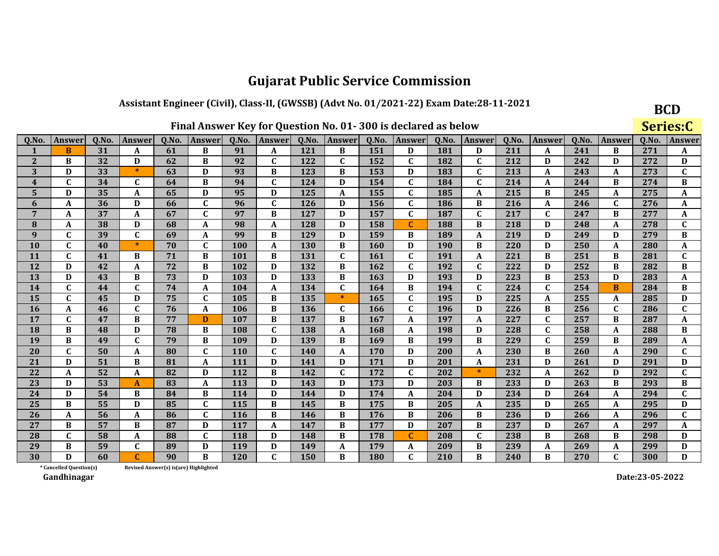### Assistant Engineer (Civil), Class-II, (GWSSB) (Advt No. 01/2021-22) Exam Date:28-11-2021

**BCD** 

|                         |                                                                                                                                                                              |    |              |                                       |              |            |                  |            |              |            | Final Answer Key for Question No. 01-300 is declared as below |     |              |     |             |       |               |     | Series:C     |
|-------------------------|------------------------------------------------------------------------------------------------------------------------------------------------------------------------------|----|--------------|---------------------------------------|--------------|------------|------------------|------------|--------------|------------|---------------------------------------------------------------|-----|--------------|-----|-------------|-------|---------------|-----|--------------|
| Q.No.                   | Q.No.<br>Q.No.<br>Q.No.<br>Q.No.<br>Q.No.<br>Answer<br>Answer<br>Answer<br>Answer<br>Answer<br>Q.No.<br>Q.No.<br>Q.No.<br>Answer<br><b>Answer</b><br>Answer<br><b>Answer</b> |    |              |                                       |              |            |                  |            |              |            |                                                               |     |              |     |             | Q.No. | <b>Answer</b> |     |              |
| 1                       | B                                                                                                                                                                            | 31 | A            | 61                                    | B            | 91         | A                | 121        | B            | 151        | D                                                             | 181 | D            | 211 | A           | 241   | B             | 271 | A            |
| $\overline{2}$          | B                                                                                                                                                                            | 32 | D            | 62                                    | B            | 92         | $\mathbf{C}$     | 122        | C            | 152        | $\mathbf{C}$                                                  | 182 | $\mathbf{C}$ | 212 | D           | 242   | D             | 272 | D            |
| 3                       | D                                                                                                                                                                            | 33 | $\ast$       | 63                                    | D            | 93         | B                | 123        | B            | 153        | D                                                             | 183 | $\mathbf C$  | 213 | A           | 243   | A             | 273 | $\mathbf{C}$ |
| $\overline{\mathbf{4}}$ | $\mathbf{C}$                                                                                                                                                                 | 34 | $\mathbf{C}$ | 64                                    | B            | 94         | $\mathbf{C}$     | 124        | D            | 154        | $\mathbf{C}$                                                  | 184 | $\mathbf{C}$ | 214 | A           | 244   | B             | 274 | B            |
| 5                       | D                                                                                                                                                                            | 35 | A            | 65                                    | D            | 95         | D                | 125        | A            | 155        | $\mathbf C$                                                   | 185 | A            | 215 | B           | 245   | A             | 275 | A            |
| 6                       | A                                                                                                                                                                            | 36 | D            | 66                                    | $\mathbf C$  | 96         | $\mathbf C$      | <b>126</b> | D            | 156        | $\mathbf{C}$                                                  | 186 | B            | 216 | A           | 246   | $\mathbf C$   | 276 | A            |
| 7                       | A                                                                                                                                                                            | 37 | A            | 67                                    | $\mathbf C$  | 97         | B                | 127        | D            | 157        | $\mathbf C$                                                   | 187 | $\mathbf C$  | 217 | $\mathbf C$ | 247   | B             | 277 | A            |
| 8                       | A                                                                                                                                                                            | 38 | D            | 68                                    | A            | 98         | A                | 128        | D            | 158        | C                                                             | 188 | B            | 218 | D           | 248   | A             | 278 | $\mathbf C$  |
| 9                       | C                                                                                                                                                                            | 39 | $\mathbf C$  | 69                                    | A            | 99         | B                | 129        | D            | 159        | B                                                             | 189 | A            | 219 | D           | 249   | D             | 279 | B            |
| 10                      | $\mathbf{C}$                                                                                                                                                                 | 40 | $\ast$       | 70                                    | $\mathbf C$  | 100        | $\mathbf A$      | <b>130</b> | B            | 160        | D                                                             | 190 | B            | 220 | D           | 250   | A             | 280 | A            |
| 11                      | $\mathbf C$                                                                                                                                                                  | 41 | B            | 71                                    | B            | 101        | B                | 131        | $\mathbf{C}$ | 161        | $\mathbf C$                                                   | 191 | A            | 221 | B           | 251   | B             | 281 | $\mathbf C$  |
| 12                      | D                                                                                                                                                                            | 42 | A            | 72                                    | B            | 102        | D                | 132        | B            | 162        | $\mathbf C$                                                   | 192 | $\mathbf C$  | 222 | D           | 252   | B             | 282 | B            |
| 13                      | D                                                                                                                                                                            | 43 | B            | 73                                    | D            | 103        | D                | 133        | B            | 163        | D                                                             | 193 | D            | 223 | B           | 253   | D             | 283 | A            |
| 14                      | $\mathbf{C}$                                                                                                                                                                 | 44 | $\mathbf{C}$ | 74                                    | A            | 104        | $\mathbf A$      | 134        | C            | 164        | B                                                             | 194 | $\mathbf C$  | 224 | $\mathbf C$ | 254   | B             | 284 | B            |
| 15                      | C                                                                                                                                                                            | 45 | D            | 75                                    | $\mathbf C$  | 105        | B                | 135        | $\ast$       | 165        | $\mathbf C$                                                   | 195 | D            | 225 | $\mathbf A$ | 255   | A             | 285 | D            |
| 16                      | A                                                                                                                                                                            | 46 | $\mathbf{C}$ | 76                                    | A            | 106        | B                | 136        | C            | 166        | $\mathbf C$                                                   | 196 | D            | 226 | B           | 256   | $\mathbf C$   | 286 | $\mathbf{C}$ |
| 17                      | $\mathbf C$                                                                                                                                                                  | 47 | B            | 77                                    | D            | 107        | B                | 137        | B            | 167        | A                                                             | 197 | A            | 227 | $\mathbf C$ | 257   | B             | 287 | A            |
| 18                      | B                                                                                                                                                                            | 48 | D            | 78                                    | B            | 108        | $\mathbf C$      | 138        | A            | 168        | A                                                             | 198 | D            | 228 | $\mathbf C$ | 258   | A             | 288 | B            |
| 19                      | B                                                                                                                                                                            | 49 | $\mathbf{C}$ | 79                                    | B            | 109        | D                | 139        | B            | 169        | B                                                             | 199 | B            | 229 | $\mathbf C$ | 259   | B             | 289 | A            |
| 20                      | C                                                                                                                                                                            | 50 | A            | 80                                    | $\mathbf C$  | <b>110</b> | C                | <b>140</b> | A            | 170        | D                                                             | 200 | A            | 230 | B           | 260   | A             | 290 | C            |
| 21                      | D                                                                                                                                                                            | 51 | B            | 81                                    | A            | 111        | D                | 141        | D            | 171        | D                                                             | 201 | A            | 231 | D           | 261   | D             | 291 | D            |
| 22                      | A                                                                                                                                                                            | 52 | A            | 82                                    | D            | 112        | B                | 142        | $\mathbf{C}$ | 172        | $\mathbf{C}$                                                  | 202 | $\ast$       | 232 | A           | 262   | D             | 292 | $\mathbf{C}$ |
| 23                      | D                                                                                                                                                                            | 53 | $\mathbf{A}$ | 83                                    | A            | 113        | D                | 143        | D            | 173        | D                                                             | 203 | B            | 233 | D           | 263   | B             | 293 | $\, {\bf B}$ |
| 24                      | D                                                                                                                                                                            | 54 | B            | 84                                    | B            | 114        | D                | 144        | D            | 174        | A                                                             | 204 | D            | 234 | D           | 264   | A             | 294 | C            |
| 25                      | $\bf{B}$                                                                                                                                                                     | 55 | D            | 85                                    | $\mathbf{C}$ | 115        | $\, {\bf B}$     | 145        | B            | 175        | B                                                             | 205 | $\mathbf A$  | 235 | D           | 265   | A             | 295 | D            |
| 26                      | A                                                                                                                                                                            | 56 | A            | 86                                    | $\mathbf{C}$ | 116        | B                | 146        | B            | 176        | B                                                             | 206 | B            | 236 | D           | 266   | A             | 296 | $\mathbf C$  |
| 27                      | B                                                                                                                                                                            | 57 | B            | 87                                    | D            | 117        | $\boldsymbol{A}$ | 147        | B            | 177        | D                                                             | 207 | B            | 237 | D           | 267   | A             | 297 | A            |
| 28                      | C                                                                                                                                                                            | 58 | A            | 88                                    | $\mathbf{C}$ | 118        | D                | 148        | В            | 178        | $\mathbf{C}$                                                  | 208 | $\mathbf{C}$ | 238 | B           | 268   | B             | 298 | D            |
| 29                      | B                                                                                                                                                                            | 59 | $\mathbf C$  | 89                                    | D            | 119        | D                | 149        | A            | 179        | $\mathbf{A}$                                                  | 209 | B            | 239 | A           | 269   | A             | 299 | D            |
| 30                      | D                                                                                                                                                                            | 60 | C            | 90                                    | B            | <b>120</b> | $\mathbf C$      | <b>150</b> | B            | <b>180</b> | $\mathbf{C}$                                                  | 210 | B            | 240 | B           | 270   | $\mathbf C$   | 300 | D            |
|                         | * Cancelled Question(s)                                                                                                                                                      |    |              | Revised Answer(s) is(are) Highlighted |              |            |                  |            |              |            |                                                               |     |              |     |             |       |               |     |              |

Revised Answer(s) is(are) Highlighted

Gandhinagar